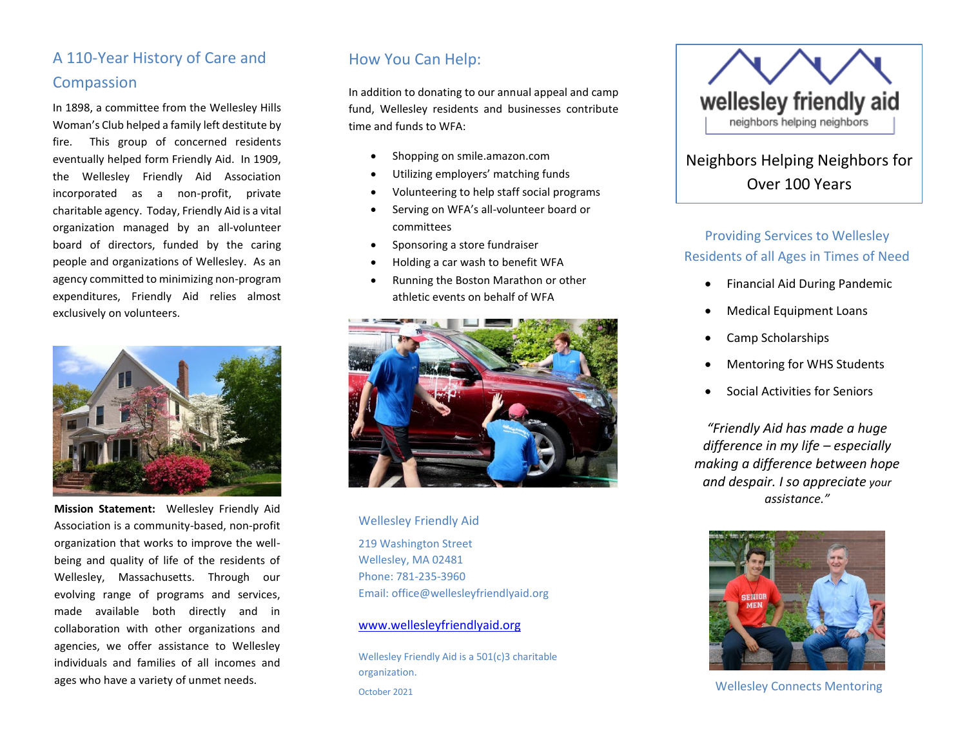# A 110-Year History of Care and Compassion

In 1898, a committee from the Wellesley Hills Woman's Club helped a family left destitute by fire. This group of concerned residents eventually helped form Friendly Aid. In 1909, the Wellesley Friendly Aid Association incorporated as a non-profit, private charitable agency. Today, Friendly Aid is a vital organization managed by an all-volunteer board of directors, funded by the caring people and organizations of Wellesley. As an agency committed to minimizing non-program expenditures, Friendly Aid relies almost exclusively on volunteers.



**Mission Statement:** Wellesley Friendly Aid Association is a community-based, non-profit organization that works to improve the wellbeing and quality of life of the residents of Wellesley, Massachusetts. Through our evolving range of [programs and services,](http://www.wellesleyfriendlyaid.org/sites/default/files/Program%20List%20Oct%202015.pdf) made available both directly and in collaboration with other organizations and agencies, we offer assistance to Wellesley individuals and families of all incomes and ages who have a variety of unmet needs.

## How You Can Help:

In addition to donating to our annual appeal and camp fund, Wellesley residents and businesses contribute time and funds to WFA:

- Shopping on smile.amazon.com
- Utilizing employers' matching funds
- Volunteering to help staff social programs
- Serving on WFA's all-volunteer board or committees
- Sponsoring a store fundraiser
- Holding a car wash to benefit WFA
- Running the Boston Marathon or other athletic events on behalf of WFA



Wellesley Friendly Aid 219 Washington Street Wellesley, MA 02481 Phone: 781-235-3960 Email: office@wellesleyfriendlyaid.org

#### [www.wellesleyfriendlyaid.org](http://www.wellesleyfriendlyaid.org/)

Wellesley Friendly Aid is a 501(c)3 charitable organization. October 2021



# Neighbors Helping Neighbors for Over 100 Years

## Providing Services to Wellesley Residents of all Ages in Times of Need

- Financial Aid During Pandemic
- Medical Equipment Loans
- Camp Scholarships
- Mentoring for WHS Students
- Social Activities for Seniors

*"Friendly Aid has made a huge difference in my life – especially making a difference between hope and despair. I so appreciate your assistance."*



Wellesley Connects Mentoring